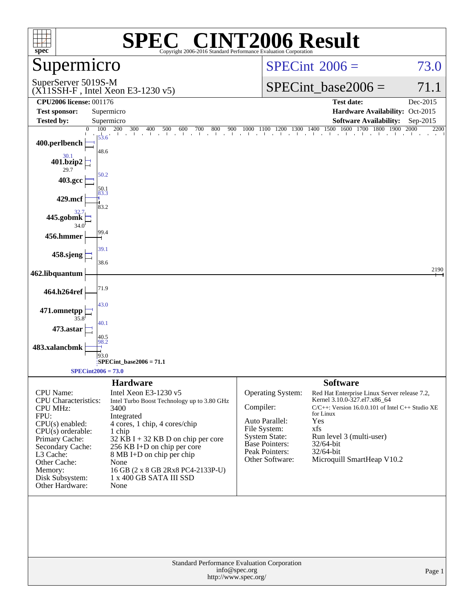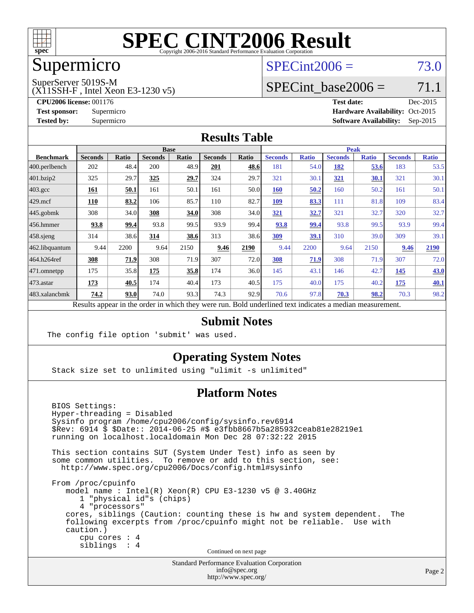

## Supermicro

### $SPECint2006 = 73.0$  $SPECint2006 = 73.0$

SuperServer 5019S-M

(X11SSH-F , Intel Xeon E3-1230 v5)

**[Tested by:](http://www.spec.org/auto/cpu2006/Docs/result-fields.html#Testedby)** Supermicro **Supermicro [Software Availability:](http://www.spec.org/auto/cpu2006/Docs/result-fields.html#SoftwareAvailability)** Sep-2015

SPECint base2006 =  $71.1$ **[CPU2006 license:](http://www.spec.org/auto/cpu2006/Docs/result-fields.html#CPU2006license)** 001176 **[Test date:](http://www.spec.org/auto/cpu2006/Docs/result-fields.html#Testdate)** Dec-2015 **[Test sponsor:](http://www.spec.org/auto/cpu2006/Docs/result-fields.html#Testsponsor)** Supermicro Supermicro **[Hardware Availability:](http://www.spec.org/auto/cpu2006/Docs/result-fields.html#HardwareAvailability)** Oct-2015

#### **[Results Table](http://www.spec.org/auto/cpu2006/Docs/result-fields.html#ResultsTable)**

|                                                                                                          | <b>Base</b>    |              |                |       |                | <b>Peak</b> |                |              |                |              |                |              |
|----------------------------------------------------------------------------------------------------------|----------------|--------------|----------------|-------|----------------|-------------|----------------|--------------|----------------|--------------|----------------|--------------|
| <b>Benchmark</b>                                                                                         | <b>Seconds</b> | <b>Ratio</b> | <b>Seconds</b> | Ratio | <b>Seconds</b> | Ratio       | <b>Seconds</b> | <b>Ratio</b> | <b>Seconds</b> | <b>Ratio</b> | <b>Seconds</b> | <b>Ratio</b> |
| $ 400$ .perlbench                                                                                        | 202            | 48.4         | 200            | 48.9  | 201            | 48.6        | 181            | 54.0         | 182            | 53.6         | 183            | 53.5         |
| 401.bzip2                                                                                                | 325            | 29.7         | 325            | 29.7  | 324            | 29.7        | 321            | 30.1         | 321            | 30.1         | 321            | 30.1         |
| $403.\text{gcc}$                                                                                         | 161            | 50.1         | 161            | 50.1  | 161            | 50.0        | <b>160</b>     | 50.2         | 160            | 50.2         | 161            | 50.1         |
| $429$ .mcf                                                                                               | 110            | 83.2         | 106            | 85.7  | 110            | 82.7        | <b>109</b>     | 83.3         | 111            | 81.8         | 109            | 83.4         |
| $445$ .gobmk                                                                                             | 308            | 34.0         | 308            | 34.0  | 308            | 34.0        | 321            | 32.7         | 321            | 32.7         | 320            | 32.7         |
| 456.hmmer                                                                                                | 93.8           | 99.4         | 93.8           | 99.5  | 93.9           | 99.4        | 93.8           | 99.4         | 93.8           | 99.5         | 93.9           | 99.4         |
| $458$ .sjeng                                                                                             | 314            | 38.6         | 314            | 38.6  | 313            | 38.6        | 309            | 39.1         | 310            | 39.0         | 309            | 39.1         |
| 462.libquantum                                                                                           | 9.44           | 2200         | 9.64           | 2150  | 9.46           | 2190        | 9.44           | 2200         | 9.64           | 2150         | 9.46           | 2190         |
| 464.h264ref                                                                                              | 308            | 71.9         | 308            | 71.9  | 307            | 72.0        | 308            | 71.9         | 308            | 71.9         | 307            | 72.0         |
| $ 471$ .omnetpp                                                                                          | 175            | 35.8         | 175            | 35.8  | 174            | 36.0        | 145            | 43.1         | 146            | 42.7         | 145            | <b>43.0</b>  |
| $473$ . astar                                                                                            | 173            | 40.5         | 174            | 40.4  | 173            | 40.5        | 175            | 40.0         | 175            | 40.2         | 175            | 40.1         |
| 483.xalancbmk                                                                                            | 74.2           | 93.0         | 74.0           | 93.3  | 74.3           | 92.9        | 70.6           | 97.8         | 70.3           | 98.2         | 70.3           | 98.2         |
| Results appear in the order in which they were run. Bold underlined text indicates a median measurement. |                |              |                |       |                |             |                |              |                |              |                |              |

#### **[Submit Notes](http://www.spec.org/auto/cpu2006/Docs/result-fields.html#SubmitNotes)**

The config file option 'submit' was used.

#### **[Operating System Notes](http://www.spec.org/auto/cpu2006/Docs/result-fields.html#OperatingSystemNotes)**

Stack size set to unlimited using "ulimit -s unlimited"

#### **[Platform Notes](http://www.spec.org/auto/cpu2006/Docs/result-fields.html#PlatformNotes)**

 BIOS Settings: Hyper-threading = Disabled Sysinfo program /home/cpu2006/config/sysinfo.rev6914 \$Rev: 6914 \$ \$Date:: 2014-06-25 #\$ e3fbb8667b5a285932ceab81e28219e1 running on localhost.localdomain Mon Dec 28 07:32:22 2015 This section contains SUT (System Under Test) info as seen by some common utilities. To remove or add to this section, see: <http://www.spec.org/cpu2006/Docs/config.html#sysinfo> From /proc/cpuinfo model name : Intel(R) Xeon(R) CPU E3-1230 v5 @ 3.40GHz 1 "physical id"s (chips) 4 "processors" cores, siblings (Caution: counting these is hw and system dependent. The following excerpts from /proc/cpuinfo might not be reliable. Use with caution.) cpu cores : 4 siblings : 4 Continued on next page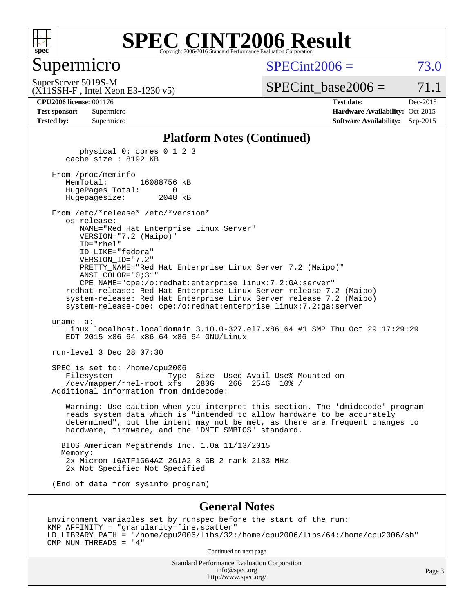

#### Supermicro

 $SPECint2006 = 73.0$  $SPECint2006 = 73.0$ 

SuperServer 5019S-M

(X11SSH-F , Intel Xeon E3-1230 v5)

SPECint base2006 =  $71.1$ 

| <b>Test sponsor:</b> | Supermicro |
|----------------------|------------|
| <b>Tested by:</b>    | Supermicro |

**[CPU2006 license:](http://www.spec.org/auto/cpu2006/Docs/result-fields.html#CPU2006license)** 001176 **[Test date:](http://www.spec.org/auto/cpu2006/Docs/result-fields.html#Testdate)** Dec-2015 **[Hardware Availability:](http://www.spec.org/auto/cpu2006/Docs/result-fields.html#HardwareAvailability)** Oct-2015 **[Software Availability:](http://www.spec.org/auto/cpu2006/Docs/result-fields.html#SoftwareAvailability)** Sep-2015

#### **[Platform Notes \(Continued\)](http://www.spec.org/auto/cpu2006/Docs/result-fields.html#PlatformNotes)**

 physical 0: cores 0 1 2 3 cache size : 8192 KB

From /proc/meminfo<br>MemTotal: 16088756 kB HugePages\_Total: 0 Hugepagesize: 2048 kB

 From /etc/\*release\* /etc/\*version\* os-release: NAME="Red Hat Enterprise Linux Server" VERSION="7.2 (Maipo)"

 ID="rhel" ID\_LIKE="fedora" VERSION\_ID="7.2" PRETTY\_NAME="Red Hat Enterprise Linux Server 7.2 (Maipo)" ANSI\_COLOR="0;31"

 CPE\_NAME="cpe:/o:redhat:enterprise\_linux:7.2:GA:server" redhat-release: Red Hat Enterprise Linux Server release 7.2 (Maipo) system-release: Red Hat Enterprise Linux Server release 7.2 (Maipo) system-release-cpe: cpe:/o:redhat:enterprise\_linux:7.2:ga:server

uname -a:

 Linux localhost.localdomain 3.10.0-327.el7.x86\_64 #1 SMP Thu Oct 29 17:29:29 EDT 2015 x86\_64 x86\_64 x86\_64 GNU/Linux

run-level 3 Dec 28 07:30

 SPEC is set to: /home/cpu2006 Filesystem Type Size Used Avail Use% Mounted on<br>/dev/mapper/rhel-root xfs 280G 26G 254G 10% / /dev/mapper/rhel-root xfs 280G Additional information from dmidecode:

 Warning: Use caution when you interpret this section. The 'dmidecode' program reads system data which is "intended to allow hardware to be accurately determined", but the intent may not be met, as there are frequent changes to hardware, firmware, and the "DMTF SMBIOS" standard.

 BIOS American Megatrends Inc. 1.0a 11/13/2015 Memory: 2x Micron 16ATF1G64AZ-2G1A2 8 GB 2 rank 2133 MHz 2x Not Specified Not Specified

(End of data from sysinfo program)

#### **[General Notes](http://www.spec.org/auto/cpu2006/Docs/result-fields.html#GeneralNotes)**

Environment variables set by runspec before the start of the run: KMP\_AFFINITY = "granularity=fine,scatter" LD\_LIBRARY\_PATH = "/home/cpu2006/libs/32:/home/cpu2006/libs/64:/home/cpu2006/sh" OMP\_NUM\_THREADS = "4"

Continued on next page

Standard Performance Evaluation Corporation [info@spec.org](mailto:info@spec.org) <http://www.spec.org/>

Page 3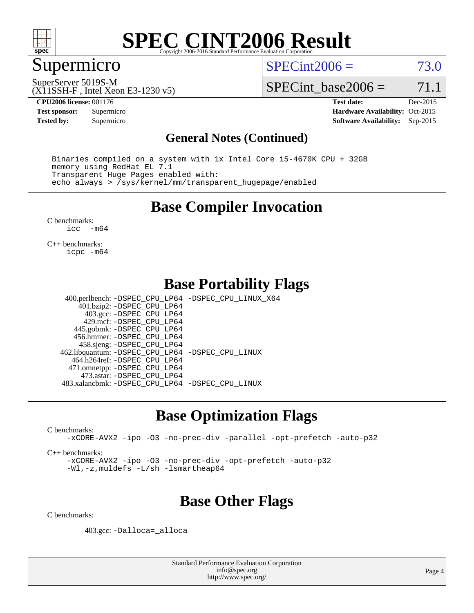

### Supermicro

 $SPECint2006 = 73.0$  $SPECint2006 = 73.0$ 

(X11SSH-F , Intel Xeon E3-1230 v5) SuperServer 5019S-M

SPECint base2006 =  $71.1$ 

**[CPU2006 license:](http://www.spec.org/auto/cpu2006/Docs/result-fields.html#CPU2006license)** 001176 **[Test date:](http://www.spec.org/auto/cpu2006/Docs/result-fields.html#Testdate)** Dec-2015

**[Tested by:](http://www.spec.org/auto/cpu2006/Docs/result-fields.html#Testedby)** Supermicro **Supermicro [Software Availability:](http://www.spec.org/auto/cpu2006/Docs/result-fields.html#SoftwareAvailability)** Sep-2015

**[Test sponsor:](http://www.spec.org/auto/cpu2006/Docs/result-fields.html#Testsponsor)** Supermicro Supermicro **[Hardware Availability:](http://www.spec.org/auto/cpu2006/Docs/result-fields.html#HardwareAvailability)** Oct-2015

#### **[General Notes \(Continued\)](http://www.spec.org/auto/cpu2006/Docs/result-fields.html#GeneralNotes)**

 Binaries compiled on a system with 1x Intel Core i5-4670K CPU + 32GB memory using RedHat EL 7.1 Transparent Huge Pages enabled with: echo always > /sys/kernel/mm/transparent\_hugepage/enabled

#### **[Base Compiler Invocation](http://www.spec.org/auto/cpu2006/Docs/result-fields.html#BaseCompilerInvocation)**

[C benchmarks](http://www.spec.org/auto/cpu2006/Docs/result-fields.html#Cbenchmarks):<br> $i_{\text{CC}}$  –  $-m64$ 

[C++ benchmarks:](http://www.spec.org/auto/cpu2006/Docs/result-fields.html#CXXbenchmarks) [icpc -m64](http://www.spec.org/cpu2006/results/res2016q1/cpu2006-20151228-38541.flags.html#user_CXXbase_intel_icpc_64bit_fc66a5337ce925472a5c54ad6a0de310)

#### **[Base Portability Flags](http://www.spec.org/auto/cpu2006/Docs/result-fields.html#BasePortabilityFlags)**

 400.perlbench: [-DSPEC\\_CPU\\_LP64](http://www.spec.org/cpu2006/results/res2016q1/cpu2006-20151228-38541.flags.html#b400.perlbench_basePORTABILITY_DSPEC_CPU_LP64) [-DSPEC\\_CPU\\_LINUX\\_X64](http://www.spec.org/cpu2006/results/res2016q1/cpu2006-20151228-38541.flags.html#b400.perlbench_baseCPORTABILITY_DSPEC_CPU_LINUX_X64) 401.bzip2: [-DSPEC\\_CPU\\_LP64](http://www.spec.org/cpu2006/results/res2016q1/cpu2006-20151228-38541.flags.html#suite_basePORTABILITY401_bzip2_DSPEC_CPU_LP64) 403.gcc: [-DSPEC\\_CPU\\_LP64](http://www.spec.org/cpu2006/results/res2016q1/cpu2006-20151228-38541.flags.html#suite_basePORTABILITY403_gcc_DSPEC_CPU_LP64) 429.mcf: [-DSPEC\\_CPU\\_LP64](http://www.spec.org/cpu2006/results/res2016q1/cpu2006-20151228-38541.flags.html#suite_basePORTABILITY429_mcf_DSPEC_CPU_LP64) 445.gobmk: [-DSPEC\\_CPU\\_LP64](http://www.spec.org/cpu2006/results/res2016q1/cpu2006-20151228-38541.flags.html#suite_basePORTABILITY445_gobmk_DSPEC_CPU_LP64) 456.hmmer: [-DSPEC\\_CPU\\_LP64](http://www.spec.org/cpu2006/results/res2016q1/cpu2006-20151228-38541.flags.html#suite_basePORTABILITY456_hmmer_DSPEC_CPU_LP64) 458.sjeng: [-DSPEC\\_CPU\\_LP64](http://www.spec.org/cpu2006/results/res2016q1/cpu2006-20151228-38541.flags.html#suite_basePORTABILITY458_sjeng_DSPEC_CPU_LP64) 462.libquantum: [-DSPEC\\_CPU\\_LP64](http://www.spec.org/cpu2006/results/res2016q1/cpu2006-20151228-38541.flags.html#suite_basePORTABILITY462_libquantum_DSPEC_CPU_LP64) [-DSPEC\\_CPU\\_LINUX](http://www.spec.org/cpu2006/results/res2016q1/cpu2006-20151228-38541.flags.html#b462.libquantum_baseCPORTABILITY_DSPEC_CPU_LINUX) 464.h264ref: [-DSPEC\\_CPU\\_LP64](http://www.spec.org/cpu2006/results/res2016q1/cpu2006-20151228-38541.flags.html#suite_basePORTABILITY464_h264ref_DSPEC_CPU_LP64) 471.omnetpp: [-DSPEC\\_CPU\\_LP64](http://www.spec.org/cpu2006/results/res2016q1/cpu2006-20151228-38541.flags.html#suite_basePORTABILITY471_omnetpp_DSPEC_CPU_LP64) 473.astar: [-DSPEC\\_CPU\\_LP64](http://www.spec.org/cpu2006/results/res2016q1/cpu2006-20151228-38541.flags.html#suite_basePORTABILITY473_astar_DSPEC_CPU_LP64) 483.xalancbmk: [-DSPEC\\_CPU\\_LP64](http://www.spec.org/cpu2006/results/res2016q1/cpu2006-20151228-38541.flags.html#suite_basePORTABILITY483_xalancbmk_DSPEC_CPU_LP64) [-DSPEC\\_CPU\\_LINUX](http://www.spec.org/cpu2006/results/res2016q1/cpu2006-20151228-38541.flags.html#b483.xalancbmk_baseCXXPORTABILITY_DSPEC_CPU_LINUX)

### **[Base Optimization Flags](http://www.spec.org/auto/cpu2006/Docs/result-fields.html#BaseOptimizationFlags)**

[C benchmarks](http://www.spec.org/auto/cpu2006/Docs/result-fields.html#Cbenchmarks):

[-xCORE-AVX2](http://www.spec.org/cpu2006/results/res2016q1/cpu2006-20151228-38541.flags.html#user_CCbase_f-xAVX2_5f5fc0cbe2c9f62c816d3e45806c70d7) [-ipo](http://www.spec.org/cpu2006/results/res2016q1/cpu2006-20151228-38541.flags.html#user_CCbase_f-ipo) [-O3](http://www.spec.org/cpu2006/results/res2016q1/cpu2006-20151228-38541.flags.html#user_CCbase_f-O3) [-no-prec-div](http://www.spec.org/cpu2006/results/res2016q1/cpu2006-20151228-38541.flags.html#user_CCbase_f-no-prec-div) [-parallel](http://www.spec.org/cpu2006/results/res2016q1/cpu2006-20151228-38541.flags.html#user_CCbase_f-parallel) [-opt-prefetch](http://www.spec.org/cpu2006/results/res2016q1/cpu2006-20151228-38541.flags.html#user_CCbase_f-opt-prefetch) [-auto-p32](http://www.spec.org/cpu2006/results/res2016q1/cpu2006-20151228-38541.flags.html#user_CCbase_f-auto-p32)

[C++ benchmarks:](http://www.spec.org/auto/cpu2006/Docs/result-fields.html#CXXbenchmarks)

[-xCORE-AVX2](http://www.spec.org/cpu2006/results/res2016q1/cpu2006-20151228-38541.flags.html#user_CXXbase_f-xAVX2_5f5fc0cbe2c9f62c816d3e45806c70d7) [-ipo](http://www.spec.org/cpu2006/results/res2016q1/cpu2006-20151228-38541.flags.html#user_CXXbase_f-ipo) [-O3](http://www.spec.org/cpu2006/results/res2016q1/cpu2006-20151228-38541.flags.html#user_CXXbase_f-O3) [-no-prec-div](http://www.spec.org/cpu2006/results/res2016q1/cpu2006-20151228-38541.flags.html#user_CXXbase_f-no-prec-div) [-opt-prefetch](http://www.spec.org/cpu2006/results/res2016q1/cpu2006-20151228-38541.flags.html#user_CXXbase_f-opt-prefetch) [-auto-p32](http://www.spec.org/cpu2006/results/res2016q1/cpu2006-20151228-38541.flags.html#user_CXXbase_f-auto-p32) [-Wl,-z,muldefs](http://www.spec.org/cpu2006/results/res2016q1/cpu2006-20151228-38541.flags.html#user_CXXbase_link_force_multiple1_74079c344b956b9658436fd1b6dd3a8a) [-L/sh -lsmartheap64](http://www.spec.org/cpu2006/results/res2016q1/cpu2006-20151228-38541.flags.html#user_CXXbase_SmartHeap64_ed4ef857ce90951921efb0d91eb88472)

## **[Base Other Flags](http://www.spec.org/auto/cpu2006/Docs/result-fields.html#BaseOtherFlags)**

[C benchmarks](http://www.spec.org/auto/cpu2006/Docs/result-fields.html#Cbenchmarks):

403.gcc: [-Dalloca=\\_alloca](http://www.spec.org/cpu2006/results/res2016q1/cpu2006-20151228-38541.flags.html#b403.gcc_baseEXTRA_CFLAGS_Dalloca_be3056838c12de2578596ca5467af7f3)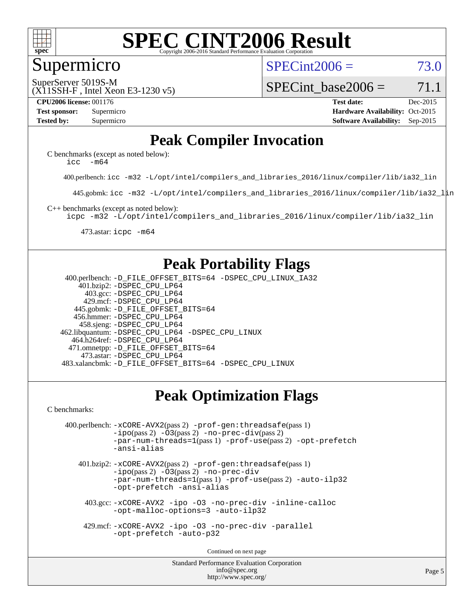

#### Supermicro

 $SPECint2006 = 73.0$  $SPECint2006 = 73.0$ 

(X11SSH-F , Intel Xeon E3-1230 v5) SuperServer 5019S-M

SPECint base2006 =  $71.1$ 

**[CPU2006 license:](http://www.spec.org/auto/cpu2006/Docs/result-fields.html#CPU2006license)** 001176 **[Test date:](http://www.spec.org/auto/cpu2006/Docs/result-fields.html#Testdate)** Dec-2015 **[Test sponsor:](http://www.spec.org/auto/cpu2006/Docs/result-fields.html#Testsponsor)** Supermicro Supermicro **[Hardware Availability:](http://www.spec.org/auto/cpu2006/Docs/result-fields.html#HardwareAvailability)** Oct-2015 **[Tested by:](http://www.spec.org/auto/cpu2006/Docs/result-fields.html#Testedby)** Supermicro **Supermicro [Software Availability:](http://www.spec.org/auto/cpu2006/Docs/result-fields.html#SoftwareAvailability)** Sep-2015

### **[Peak Compiler Invocation](http://www.spec.org/auto/cpu2006/Docs/result-fields.html#PeakCompilerInvocation)**

[C benchmarks \(except as noted below\)](http://www.spec.org/auto/cpu2006/Docs/result-fields.html#Cbenchmarksexceptasnotedbelow): [icc -m64](http://www.spec.org/cpu2006/results/res2016q1/cpu2006-20151228-38541.flags.html#user_CCpeak_intel_icc_64bit_f346026e86af2a669e726fe758c88044)

400.perlbench: [icc -m32 -L/opt/intel/compilers\\_and\\_libraries\\_2016/linux/compiler/lib/ia32\\_lin](http://www.spec.org/cpu2006/results/res2016q1/cpu2006-20151228-38541.flags.html#user_peakCCLD400_perlbench_intel_icc_e10256ba5924b668798078a321b0cb3f)

445.gobmk: [icc -m32 -L/opt/intel/compilers\\_and\\_libraries\\_2016/linux/compiler/lib/ia32\\_lin](http://www.spec.org/cpu2006/results/res2016q1/cpu2006-20151228-38541.flags.html#user_peakCCLD445_gobmk_intel_icc_e10256ba5924b668798078a321b0cb3f)

[C++ benchmarks \(except as noted below\):](http://www.spec.org/auto/cpu2006/Docs/result-fields.html#CXXbenchmarksexceptasnotedbelow)

[icpc -m32 -L/opt/intel/compilers\\_and\\_libraries\\_2016/linux/compiler/lib/ia32\\_lin](http://www.spec.org/cpu2006/results/res2016q1/cpu2006-20151228-38541.flags.html#user_CXXpeak_intel_icpc_b4f50a394bdb4597aa5879c16bc3f5c5)

473.astar: [icpc -m64](http://www.spec.org/cpu2006/results/res2016q1/cpu2006-20151228-38541.flags.html#user_peakCXXLD473_astar_intel_icpc_64bit_fc66a5337ce925472a5c54ad6a0de310)

### **[Peak Portability Flags](http://www.spec.org/auto/cpu2006/Docs/result-fields.html#PeakPortabilityFlags)**

 400.perlbench: [-D\\_FILE\\_OFFSET\\_BITS=64](http://www.spec.org/cpu2006/results/res2016q1/cpu2006-20151228-38541.flags.html#user_peakPORTABILITY400_perlbench_file_offset_bits_64_438cf9856305ebd76870a2c6dc2689ab) [-DSPEC\\_CPU\\_LINUX\\_IA32](http://www.spec.org/cpu2006/results/res2016q1/cpu2006-20151228-38541.flags.html#b400.perlbench_peakCPORTABILITY_DSPEC_CPU_LINUX_IA32) 401.bzip2: [-DSPEC\\_CPU\\_LP64](http://www.spec.org/cpu2006/results/res2016q1/cpu2006-20151228-38541.flags.html#suite_peakPORTABILITY401_bzip2_DSPEC_CPU_LP64) 403.gcc: [-DSPEC\\_CPU\\_LP64](http://www.spec.org/cpu2006/results/res2016q1/cpu2006-20151228-38541.flags.html#suite_peakPORTABILITY403_gcc_DSPEC_CPU_LP64) 429.mcf: [-DSPEC\\_CPU\\_LP64](http://www.spec.org/cpu2006/results/res2016q1/cpu2006-20151228-38541.flags.html#suite_peakPORTABILITY429_mcf_DSPEC_CPU_LP64) 445.gobmk: [-D\\_FILE\\_OFFSET\\_BITS=64](http://www.spec.org/cpu2006/results/res2016q1/cpu2006-20151228-38541.flags.html#user_peakPORTABILITY445_gobmk_file_offset_bits_64_438cf9856305ebd76870a2c6dc2689ab) 456.hmmer: [-DSPEC\\_CPU\\_LP64](http://www.spec.org/cpu2006/results/res2016q1/cpu2006-20151228-38541.flags.html#suite_peakPORTABILITY456_hmmer_DSPEC_CPU_LP64) 458.sjeng: [-DSPEC\\_CPU\\_LP64](http://www.spec.org/cpu2006/results/res2016q1/cpu2006-20151228-38541.flags.html#suite_peakPORTABILITY458_sjeng_DSPEC_CPU_LP64) 462.libquantum: [-DSPEC\\_CPU\\_LP64](http://www.spec.org/cpu2006/results/res2016q1/cpu2006-20151228-38541.flags.html#suite_peakPORTABILITY462_libquantum_DSPEC_CPU_LP64) [-DSPEC\\_CPU\\_LINUX](http://www.spec.org/cpu2006/results/res2016q1/cpu2006-20151228-38541.flags.html#b462.libquantum_peakCPORTABILITY_DSPEC_CPU_LINUX) 464.h264ref: [-DSPEC\\_CPU\\_LP64](http://www.spec.org/cpu2006/results/res2016q1/cpu2006-20151228-38541.flags.html#suite_peakPORTABILITY464_h264ref_DSPEC_CPU_LP64) 471.omnetpp: [-D\\_FILE\\_OFFSET\\_BITS=64](http://www.spec.org/cpu2006/results/res2016q1/cpu2006-20151228-38541.flags.html#user_peakPORTABILITY471_omnetpp_file_offset_bits_64_438cf9856305ebd76870a2c6dc2689ab) 473.astar: [-DSPEC\\_CPU\\_LP64](http://www.spec.org/cpu2006/results/res2016q1/cpu2006-20151228-38541.flags.html#suite_peakPORTABILITY473_astar_DSPEC_CPU_LP64) 483.xalancbmk: [-D\\_FILE\\_OFFSET\\_BITS=64](http://www.spec.org/cpu2006/results/res2016q1/cpu2006-20151228-38541.flags.html#user_peakPORTABILITY483_xalancbmk_file_offset_bits_64_438cf9856305ebd76870a2c6dc2689ab) [-DSPEC\\_CPU\\_LINUX](http://www.spec.org/cpu2006/results/res2016q1/cpu2006-20151228-38541.flags.html#b483.xalancbmk_peakCXXPORTABILITY_DSPEC_CPU_LINUX)

## **[Peak Optimization Flags](http://www.spec.org/auto/cpu2006/Docs/result-fields.html#PeakOptimizationFlags)**

[C benchmarks](http://www.spec.org/auto/cpu2006/Docs/result-fields.html#Cbenchmarks):

```
 400.perlbench: -xCORE-AVX2(pass 2) -prof-gen:threadsafe(pass 1)
-no-prec-div(pass 2)-par-num-threads=1(pass 1) -prof-use(pass 2) -opt-prefetch
-ansi-alias
```
 401.bzip2: [-xCORE-AVX2](http://www.spec.org/cpu2006/results/res2016q1/cpu2006-20151228-38541.flags.html#user_peakPASS2_CFLAGSPASS2_LDCFLAGS401_bzip2_f-xAVX2_5f5fc0cbe2c9f62c816d3e45806c70d7)(pass 2) [-prof-gen:threadsafe](http://www.spec.org/cpu2006/results/res2016q1/cpu2006-20151228-38541.flags.html#user_peakPASS1_CFLAGSPASS1_LDCFLAGS401_bzip2_prof_gen_21a26eb79f378b550acd7bec9fe4467a)(pass 1)  $-i\text{po}(pass 2) -03(pass 2) -no-prec-div$  $-i\text{po}(pass 2) -03(pass 2) -no-prec-div$ [-par-num-threads=1](http://www.spec.org/cpu2006/results/res2016q1/cpu2006-20151228-38541.flags.html#user_peakPASS1_CFLAGSPASS1_LDCFLAGS401_bzip2_par_num_threads_786a6ff141b4e9e90432e998842df6c2)(pass 1) [-prof-use](http://www.spec.org/cpu2006/results/res2016q1/cpu2006-20151228-38541.flags.html#user_peakPASS2_CFLAGSPASS2_LDCFLAGS401_bzip2_prof_use_bccf7792157ff70d64e32fe3e1250b55)(pass 2) [-auto-ilp32](http://www.spec.org/cpu2006/results/res2016q1/cpu2006-20151228-38541.flags.html#user_peakCOPTIMIZE401_bzip2_f-auto-ilp32) [-opt-prefetch](http://www.spec.org/cpu2006/results/res2016q1/cpu2006-20151228-38541.flags.html#user_peakCOPTIMIZE401_bzip2_f-opt-prefetch) [-ansi-alias](http://www.spec.org/cpu2006/results/res2016q1/cpu2006-20151228-38541.flags.html#user_peakCOPTIMIZE401_bzip2_f-ansi-alias)

 403.gcc: [-xCORE-AVX2](http://www.spec.org/cpu2006/results/res2016q1/cpu2006-20151228-38541.flags.html#user_peakCOPTIMIZE403_gcc_f-xAVX2_5f5fc0cbe2c9f62c816d3e45806c70d7) [-ipo](http://www.spec.org/cpu2006/results/res2016q1/cpu2006-20151228-38541.flags.html#user_peakCOPTIMIZE403_gcc_f-ipo) [-O3](http://www.spec.org/cpu2006/results/res2016q1/cpu2006-20151228-38541.flags.html#user_peakCOPTIMIZE403_gcc_f-O3) [-no-prec-div](http://www.spec.org/cpu2006/results/res2016q1/cpu2006-20151228-38541.flags.html#user_peakCOPTIMIZE403_gcc_f-no-prec-div) [-inline-calloc](http://www.spec.org/cpu2006/results/res2016q1/cpu2006-20151228-38541.flags.html#user_peakCOPTIMIZE403_gcc_f-inline-calloc) [-opt-malloc-options=3](http://www.spec.org/cpu2006/results/res2016q1/cpu2006-20151228-38541.flags.html#user_peakCOPTIMIZE403_gcc_f-opt-malloc-options_13ab9b803cf986b4ee62f0a5998c2238) [-auto-ilp32](http://www.spec.org/cpu2006/results/res2016q1/cpu2006-20151228-38541.flags.html#user_peakCOPTIMIZE403_gcc_f-auto-ilp32)

 429.mcf: [-xCORE-AVX2](http://www.spec.org/cpu2006/results/res2016q1/cpu2006-20151228-38541.flags.html#user_peakCOPTIMIZE429_mcf_f-xAVX2_5f5fc0cbe2c9f62c816d3e45806c70d7) [-ipo](http://www.spec.org/cpu2006/results/res2016q1/cpu2006-20151228-38541.flags.html#user_peakCOPTIMIZE429_mcf_f-ipo) [-O3](http://www.spec.org/cpu2006/results/res2016q1/cpu2006-20151228-38541.flags.html#user_peakCOPTIMIZE429_mcf_f-O3) [-no-prec-div](http://www.spec.org/cpu2006/results/res2016q1/cpu2006-20151228-38541.flags.html#user_peakCOPTIMIZE429_mcf_f-no-prec-div) [-parallel](http://www.spec.org/cpu2006/results/res2016q1/cpu2006-20151228-38541.flags.html#user_peakCOPTIMIZE429_mcf_f-parallel) [-opt-prefetch](http://www.spec.org/cpu2006/results/res2016q1/cpu2006-20151228-38541.flags.html#user_peakCOPTIMIZE429_mcf_f-opt-prefetch) [-auto-p32](http://www.spec.org/cpu2006/results/res2016q1/cpu2006-20151228-38541.flags.html#user_peakCOPTIMIZE429_mcf_f-auto-p32)

Continued on next page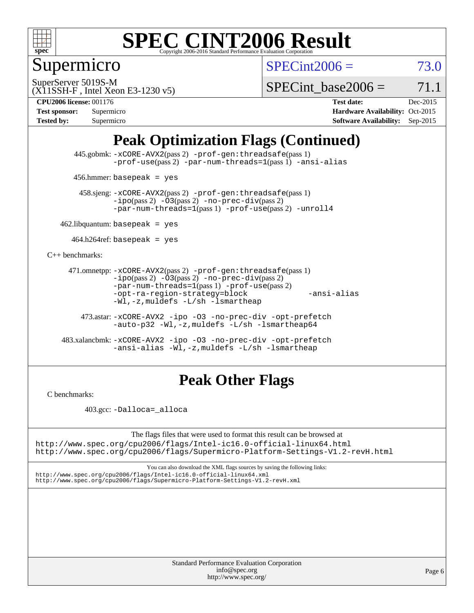

Supermicro

 $SPECint2006 = 73.0$  $SPECint2006 = 73.0$ 

(X11SSH-F , Intel Xeon E3-1230 v5) SuperServer 5019S-M

SPECint base2006 =  $71.1$ 

**[CPU2006 license:](http://www.spec.org/auto/cpu2006/Docs/result-fields.html#CPU2006license)** 001176 **[Test date:](http://www.spec.org/auto/cpu2006/Docs/result-fields.html#Testdate)** Dec-2015

| <b>Test sponsor:</b> | Supermicro |
|----------------------|------------|
| <b>Tested by:</b>    | Supermicro |

**[Hardware Availability:](http://www.spec.org/auto/cpu2006/Docs/result-fields.html#HardwareAvailability)** Oct-2015 **[Software Availability:](http://www.spec.org/auto/cpu2006/Docs/result-fields.html#SoftwareAvailability)** Sep-2015

## **[Peak Optimization Flags \(Continued\)](http://www.spec.org/auto/cpu2006/Docs/result-fields.html#PeakOptimizationFlags)**

 445.gobmk: [-xCORE-AVX2](http://www.spec.org/cpu2006/results/res2016q1/cpu2006-20151228-38541.flags.html#user_peakPASS2_CFLAGSPASS2_LDCFLAGS445_gobmk_f-xAVX2_5f5fc0cbe2c9f62c816d3e45806c70d7)(pass 2) [-prof-gen:threadsafe](http://www.spec.org/cpu2006/results/res2016q1/cpu2006-20151228-38541.flags.html#user_peakPASS1_CFLAGSPASS1_LDCFLAGS445_gobmk_prof_gen_21a26eb79f378b550acd7bec9fe4467a)(pass 1) [-prof-use](http://www.spec.org/cpu2006/results/res2016q1/cpu2006-20151228-38541.flags.html#user_peakPASS2_CFLAGSPASS2_LDCFLAGS445_gobmk_prof_use_bccf7792157ff70d64e32fe3e1250b55)(pass 2) [-par-num-threads=1](http://www.spec.org/cpu2006/results/res2016q1/cpu2006-20151228-38541.flags.html#user_peakPASS1_CFLAGSPASS1_LDCFLAGS445_gobmk_par_num_threads_786a6ff141b4e9e90432e998842df6c2)(pass 1) [-ansi-alias](http://www.spec.org/cpu2006/results/res2016q1/cpu2006-20151228-38541.flags.html#user_peakCOPTIMIZE445_gobmk_f-ansi-alias)

456.hmmer: basepeak = yes

 458.sjeng: [-xCORE-AVX2](http://www.spec.org/cpu2006/results/res2016q1/cpu2006-20151228-38541.flags.html#user_peakPASS2_CFLAGSPASS2_LDCFLAGS458_sjeng_f-xAVX2_5f5fc0cbe2c9f62c816d3e45806c70d7)(pass 2) [-prof-gen:threadsafe](http://www.spec.org/cpu2006/results/res2016q1/cpu2006-20151228-38541.flags.html#user_peakPASS1_CFLAGSPASS1_LDCFLAGS458_sjeng_prof_gen_21a26eb79f378b550acd7bec9fe4467a)(pass 1)  $-ipo(pass 2) -\overline{O3(pass 2)}$  $-ipo(pass 2) -\overline{O3(pass 2)}$  [-no-prec-div](http://www.spec.org/cpu2006/results/res2016q1/cpu2006-20151228-38541.flags.html#user_peakPASS2_CFLAGSPASS2_LDCFLAGS458_sjeng_f-no-prec-div)(pass 2) [-par-num-threads=1](http://www.spec.org/cpu2006/results/res2016q1/cpu2006-20151228-38541.flags.html#user_peakPASS1_CFLAGSPASS1_LDCFLAGS458_sjeng_par_num_threads_786a6ff141b4e9e90432e998842df6c2)(pass 1) [-prof-use](http://www.spec.org/cpu2006/results/res2016q1/cpu2006-20151228-38541.flags.html#user_peakPASS2_CFLAGSPASS2_LDCFLAGS458_sjeng_prof_use_bccf7792157ff70d64e32fe3e1250b55)(pass 2) [-unroll4](http://www.spec.org/cpu2006/results/res2016q1/cpu2006-20151228-38541.flags.html#user_peakCOPTIMIZE458_sjeng_f-unroll_4e5e4ed65b7fd20bdcd365bec371b81f)

 $462$ .libquantum: basepeak = yes

 $464.h264$ ref: basepeak = yes

[C++ benchmarks:](http://www.spec.org/auto/cpu2006/Docs/result-fields.html#CXXbenchmarks)

```
 471.omnetpp: -xCORE-AVX2(pass 2) -prof-gen:threadsafe(pass 1)
-i\text{po}(pass 2) -03(pass 2) -no-prec-div(pass 2)-par-num-threads=1(pass 1) -prof-use(pass 2)
-opt-ra-region-strategy=block -ansi-alias
-Wl,-z,muldefs -L/sh -lsmartheap
```
 473.astar: [-xCORE-AVX2](http://www.spec.org/cpu2006/results/res2016q1/cpu2006-20151228-38541.flags.html#user_peakCXXOPTIMIZE473_astar_f-xAVX2_5f5fc0cbe2c9f62c816d3e45806c70d7) [-ipo](http://www.spec.org/cpu2006/results/res2016q1/cpu2006-20151228-38541.flags.html#user_peakCXXOPTIMIZE473_astar_f-ipo) [-O3](http://www.spec.org/cpu2006/results/res2016q1/cpu2006-20151228-38541.flags.html#user_peakCXXOPTIMIZE473_astar_f-O3) [-no-prec-div](http://www.spec.org/cpu2006/results/res2016q1/cpu2006-20151228-38541.flags.html#user_peakCXXOPTIMIZE473_astar_f-no-prec-div) [-opt-prefetch](http://www.spec.org/cpu2006/results/res2016q1/cpu2006-20151228-38541.flags.html#user_peakCXXOPTIMIZE473_astar_f-opt-prefetch) [-auto-p32](http://www.spec.org/cpu2006/results/res2016q1/cpu2006-20151228-38541.flags.html#user_peakCXXOPTIMIZE473_astar_f-auto-p32) [-Wl,-z,muldefs](http://www.spec.org/cpu2006/results/res2016q1/cpu2006-20151228-38541.flags.html#user_peakEXTRA_LDFLAGS473_astar_link_force_multiple1_74079c344b956b9658436fd1b6dd3a8a) [-L/sh -lsmartheap64](http://www.spec.org/cpu2006/results/res2016q1/cpu2006-20151228-38541.flags.html#user_peakEXTRA_LIBS473_astar_SmartHeap64_ed4ef857ce90951921efb0d91eb88472)

 483.xalancbmk: [-xCORE-AVX2](http://www.spec.org/cpu2006/results/res2016q1/cpu2006-20151228-38541.flags.html#user_peakCXXOPTIMIZE483_xalancbmk_f-xAVX2_5f5fc0cbe2c9f62c816d3e45806c70d7) [-ipo](http://www.spec.org/cpu2006/results/res2016q1/cpu2006-20151228-38541.flags.html#user_peakCXXOPTIMIZE483_xalancbmk_f-ipo) [-O3](http://www.spec.org/cpu2006/results/res2016q1/cpu2006-20151228-38541.flags.html#user_peakCXXOPTIMIZE483_xalancbmk_f-O3) [-no-prec-div](http://www.spec.org/cpu2006/results/res2016q1/cpu2006-20151228-38541.flags.html#user_peakCXXOPTIMIZE483_xalancbmk_f-no-prec-div) [-opt-prefetch](http://www.spec.org/cpu2006/results/res2016q1/cpu2006-20151228-38541.flags.html#user_peakCXXOPTIMIZE483_xalancbmk_f-opt-prefetch) [-ansi-alias](http://www.spec.org/cpu2006/results/res2016q1/cpu2006-20151228-38541.flags.html#user_peakCXXOPTIMIZE483_xalancbmk_f-ansi-alias) [-Wl,-z,muldefs](http://www.spec.org/cpu2006/results/res2016q1/cpu2006-20151228-38541.flags.html#user_peakEXTRA_LDFLAGS483_xalancbmk_link_force_multiple1_74079c344b956b9658436fd1b6dd3a8a) [-L/sh -lsmartheap](http://www.spec.org/cpu2006/results/res2016q1/cpu2006-20151228-38541.flags.html#user_peakEXTRA_LIBS483_xalancbmk_SmartHeap_32f6c82aa1ed9c52345d30cf6e4a0499)

#### **[Peak Other Flags](http://www.spec.org/auto/cpu2006/Docs/result-fields.html#PeakOtherFlags)**

[C benchmarks](http://www.spec.org/auto/cpu2006/Docs/result-fields.html#Cbenchmarks):

403.gcc: [-Dalloca=\\_alloca](http://www.spec.org/cpu2006/results/res2016q1/cpu2006-20151228-38541.flags.html#b403.gcc_peakEXTRA_CFLAGS_Dalloca_be3056838c12de2578596ca5467af7f3)

The flags files that were used to format this result can be browsed at <http://www.spec.org/cpu2006/flags/Intel-ic16.0-official-linux64.html>

<http://www.spec.org/cpu2006/flags/Supermicro-Platform-Settings-V1.2-revH.html>

You can also download the XML flags sources by saving the following links: <http://www.spec.org/cpu2006/flags/Intel-ic16.0-official-linux64.xml> <http://www.spec.org/cpu2006/flags/Supermicro-Platform-Settings-V1.2-revH.xml>